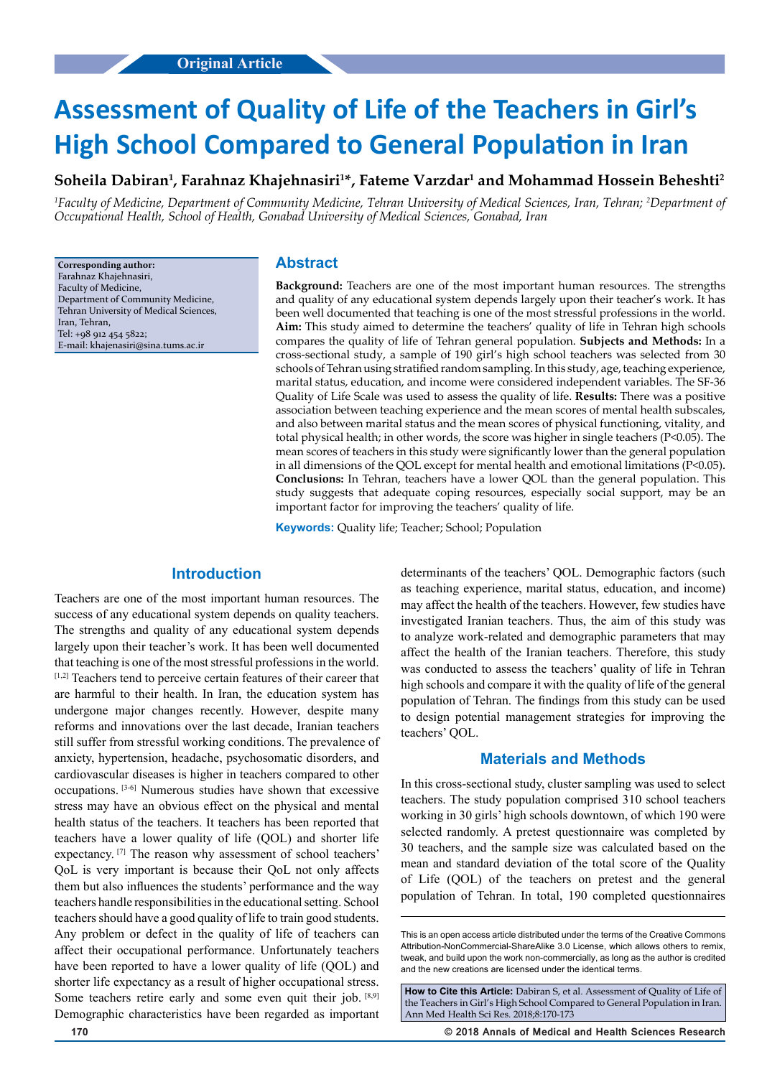# **Assessment of Quality of Life of the Teachers in Girl's High School Compared to General Population in Iran**

# **Soheila Dabiran1 , Farahnaz Khajehnasiri1 \*, Fateme Varzdar1 and Mohammad Hossein Beheshti2**

<sup>1</sup>Faculty of Medicine, Department of Community Medicine, Tehran University of Medical Sciences, Iran, Tehran; <sup>2</sup>Department of *Occupational Health, School of Health, Gonabad University of Medical Sciences, Gonabad, Iran*

**Corresponding author:** Farahnaz Khajehnasiri, Faculty of Medicine, Department of Community Medicine, Tehran University of Medical Sciences, Iran, Tehran, Tel: +98 912 454 5822; E-mail: khajenasiri@sina.tums.ac.ir

## **Abstract**

**Background:** Teachers are one of the most important human resources. The strengths and quality of any educational system depends largely upon their teacher's work. It has been well documented that teaching is one of the most stressful professions in the world. **Aim:** This study aimed to determine the teachers' quality of life in Tehran high schools compares the quality of life of Tehran general population. **Subjects and Methods:** In a cross-sectional study, a sample of 190 girl's high school teachers was selected from 30 schools of Tehran using stratified random sampling. In this study, age, teaching experience, marital status, education, and income were considered independent variables. The SF-36 Quality of Life Scale was used to assess the quality of life. **Results:** There was a positive association between teaching experience and the mean scores of mental health subscales, and also between marital status and the mean scores of physical functioning, vitality, and total physical health; in other words, the score was higher in single teachers (P<0.05). The mean scores of teachers in this study were significantly lower than the general population in all dimensions of the QOL except for mental health and emotional limitations (P<0.05). **Conclusions:** In Tehran, teachers have a lower QOL than the general population. This study suggests that adequate coping resources, especially social support, may be an important factor for improving the teachers' quality of life.

**Keywords:** Quality life; Teacher; School; Population

# **Introduction**

Teachers are one of the most important human resources. The success of any educational system depends on quality teachers. The strengths and quality of any educational system depends largely upon their teacher's work. It has been well documented that teaching is one of the most stressful professions in the world. [1,2] Teachers tend to perceive certain features of their career that are harmful to their health. In Iran, the education system has undergone major changes recently. However, despite many reforms and innovations over the last decade, Iranian teachers still suffer from stressful working conditions. The prevalence of anxiety, hypertension, headache, psychosomatic disorders, and cardiovascular diseases is higher in teachers compared to other occupations. [3-6] Numerous studies have shown that excessive stress may have an obvious effect on the physical and mental health status of the teachers. It teachers has been reported that teachers have a lower quality of life (QOL) and shorter life expectancy. [7] The reason why assessment of school teachers' QoL is very important is because their QoL not only affects them but also influences the students' performance and the way teachers handle responsibilities in the educational setting. School teachers should have a good quality of life to train good students. Any problem or defect in the quality of life of teachers can affect their occupational performance. Unfortunately teachers have been reported to have a lower quality of life (QOL) and shorter life expectancy as a result of higher occupational stress. Some teachers retire early and some even quit their job. [8,9] Demographic characteristics have been regarded as important determinants of the teachers' QOL. Demographic factors (such as teaching experience, marital status, education, and income) may affect the health of the teachers. However, few studies have investigated Iranian teachers. Thus, the aim of this study was to analyze work-related and demographic parameters that may affect the health of the Iranian teachers. Therefore, this study was conducted to assess the teachers' quality of life in Tehran high schools and compare it with the quality of life of the general population of Tehran. The findings from this study can be used to design potential management strategies for improving the teachers' QOL.

# **Materials and Methods**

In this cross-sectional study, cluster sampling was used to select teachers. The study population comprised 310 school teachers working in 30 girls' high schools downtown, of which 190 were selected randomly. A pretest questionnaire was completed by 30 teachers, and the sample size was calculated based on the mean and standard deviation of the total score of the Quality of Life (QOL) of the teachers on pretest and the general population of Tehran. In total, 190 completed questionnaires

**How to Cite this Article:** Dabiran S, et al. Assessment of Quality of Life of the Teachers in Girl's High School Compared to General Population in Iran. Ann Med Health Sci Res. 2018;8:170-173

**170 © 2018 Annals of Medical and Health Sciences Research** 

This is an open access article distributed under the terms of the Creative Commons Attribution-NonCommercial-ShareAlike 3.0 License, which allows others to remix, tweak, and build upon the work non‑commercially, as long as the author is credited and the new creations are licensed under the identical terms.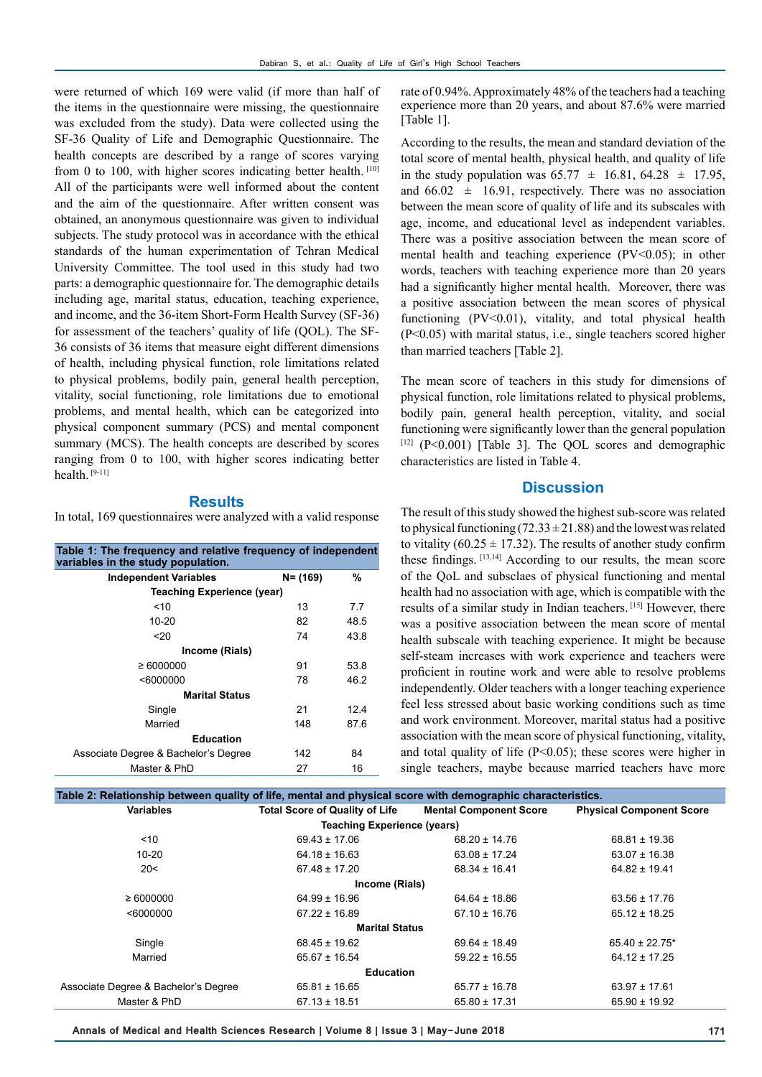were returned of which 169 were valid (if more than half of the items in the questionnaire were missing, the questionnaire was excluded from the study). Data were collected using the SF-36 Quality of Life and Demographic Questionnaire. The health concepts are described by a range of scores varying from 0 to 100, with higher scores indicating better health.  $[10]$ All of the participants were well informed about the content and the aim of the questionnaire. After written consent was obtained, an anonymous questionnaire was given to individual subjects. The study protocol was in accordance with the ethical standards of the human experimentation of Tehran Medical University Committee. The tool used in this study had two parts: a demographic questionnaire for. The demographic details including age, marital status, education, teaching experience, and income, and the 36-item Short-Form Health Survey (SF-36) for assessment of the teachers' quality of life (QOL). The SF-36 consists of 36 items that measure eight different dimensions of health, including physical function, role limitations related to physical problems, bodily pain, general health perception, vitality, social functioning, role limitations due to emotional problems, and mental health, which can be categorized into physical component summary (PCS) and mental component summary (MCS). The health concepts are described by scores ranging from 0 to 100, with higher scores indicating better health. [9-11]

#### **Results**

In total, 169 questionnaires were analyzed with a valid response

| Table 1: The frequency and relative frequency of independent<br>variables in the study population. |          |      |  |  |  |
|----------------------------------------------------------------------------------------------------|----------|------|--|--|--|
| <b>Independent Variables</b>                                                                       | N= (169) | %    |  |  |  |
| <b>Teaching Experience (year)</b>                                                                  |          |      |  |  |  |
| ~10                                                                                                | 13       | 7.7  |  |  |  |
| $10-20$                                                                                            | 82       | 48.5 |  |  |  |
| 20                                                                                                 | 74       | 43.8 |  |  |  |
| Income (Rials)                                                                                     |          |      |  |  |  |
| $\geq 6000000$                                                                                     | 91       | 53.8 |  |  |  |
| < 6000000                                                                                          | 78       | 46.2 |  |  |  |
| <b>Marital Status</b>                                                                              |          |      |  |  |  |
| Single                                                                                             | 21       | 124  |  |  |  |
| Married                                                                                            | 148      | 876  |  |  |  |
| <b>Education</b>                                                                                   |          |      |  |  |  |
| Associate Degree & Bachelor's Degree                                                               | 142      | 84   |  |  |  |
| Master & PhD                                                                                       | 27       | 16   |  |  |  |

rate of 0.94%. Approximately 48% of the teachers had a teaching experience more than 20 years, and about 87.6% were married [Table 1].

According to the results, the mean and standard deviation of the total score of mental health, physical health, and quality of life in the study population was  $65.77 \pm 16.81, 64.28 \pm 17.95$ , and  $66.02 \pm 16.91$ , respectively. There was no association between the mean score of quality of life and its subscales with age, income, and educational level as independent variables. There was a positive association between the mean score of mental health and teaching experience (PV<0.05); in other words, teachers with teaching experience more than 20 years had a significantly higher mental health. Moreover, there was a positive association between the mean scores of physical functioning (PV<0.01), vitality, and total physical health (P<0.05) with marital status, i.e., single teachers scored higher than married teachers [Table 2].

The mean score of teachers in this study for dimensions of physical function, role limitations related to physical problems, bodily pain, general health perception, vitality, and social functioning were significantly lower than the general population  $[12]$  (P<0.001) [Table 3]. The OOL scores and demographic characteristics are listed in Table 4.

#### **Discussion**

The result of this study showed the highest sub-score was related to physical functioning  $(72.33 \pm 21.88)$  and the lowest was related to vitality (60.25  $\pm$  17.32). The results of another study confirm these findings. [13,14] According to our results, the mean score of the QoL and subsclaes of physical functioning and mental health had no association with age, which is compatible with the results of a similar study in Indian teachers. [15] However, there was a positive association between the mean score of mental health subscale with teaching experience. It might be because self-steam increases with work experience and teachers were proficient in routine work and were able to resolve problems independently. Older teachers with a longer teaching experience feel less stressed about basic working conditions such as time and work environment. Moreover, marital status had a positive association with the mean score of physical functioning, vitality, and total quality of life  $(P<0.05)$ ; these scores were higher in single teachers, maybe because married teachers have more

| Table 2: Relationship between quality of life, mental and physical score with demographic characteristics. |                                       |                               |                                 |  |  |  |
|------------------------------------------------------------------------------------------------------------|---------------------------------------|-------------------------------|---------------------------------|--|--|--|
| <b>Variables</b>                                                                                           | <b>Total Score of Quality of Life</b> | <b>Mental Component Score</b> | <b>Physical Component Score</b> |  |  |  |
|                                                                                                            | <b>Teaching Experience (years)</b>    |                               |                                 |  |  |  |
| < 10                                                                                                       | $69.43 \pm 17.06$                     | $68.20 \pm 14.76$             | $68.81 \pm 19.36$               |  |  |  |
| $10 - 20$                                                                                                  | $64.18 \pm 16.63$                     | $63.08 \pm 17.24$             | $63.07 \pm 16.38$               |  |  |  |
| 20<                                                                                                        | $67.48 \pm 17.20$                     | $68.34 \pm 16.41$             | $64.82 \pm 19.41$               |  |  |  |
| Income (Rials)                                                                                             |                                       |                               |                                 |  |  |  |
| $\geq 6000000$                                                                                             | $64.99 \pm 16.96$                     | $64.64 \pm 18.86$             | $63.56 \pm 17.76$               |  |  |  |
| < 6000000                                                                                                  | $67.22 \pm 16.89$                     | $67.10 \pm 16.76$             | $65.12 \pm 18.25$               |  |  |  |
| <b>Marital Status</b>                                                                                      |                                       |                               |                                 |  |  |  |
| Single                                                                                                     | $68.45 \pm 19.62$                     | $69.64 \pm 18.49$             | $65.40 \pm 22.75$ *             |  |  |  |
| Married                                                                                                    | $65.67 \pm 16.54$                     | $59.22 \pm 16.55$             | $64.12 \pm 17.25$               |  |  |  |
| <b>Education</b>                                                                                           |                                       |                               |                                 |  |  |  |
| Associate Degree & Bachelor's Degree                                                                       | $65.81 \pm 16.65$                     | $65.77 \pm 16.78$             | $63.97 \pm 17.61$               |  |  |  |
| Master & PhD                                                                                               | $67.13 \pm 18.51$                     | $65.80 \pm 17.31$             | $65.90 \pm 19.92$               |  |  |  |

**Annals of Medical and Health Sciences Research | Volume 8 | Issue 3 | May-June 2018 171**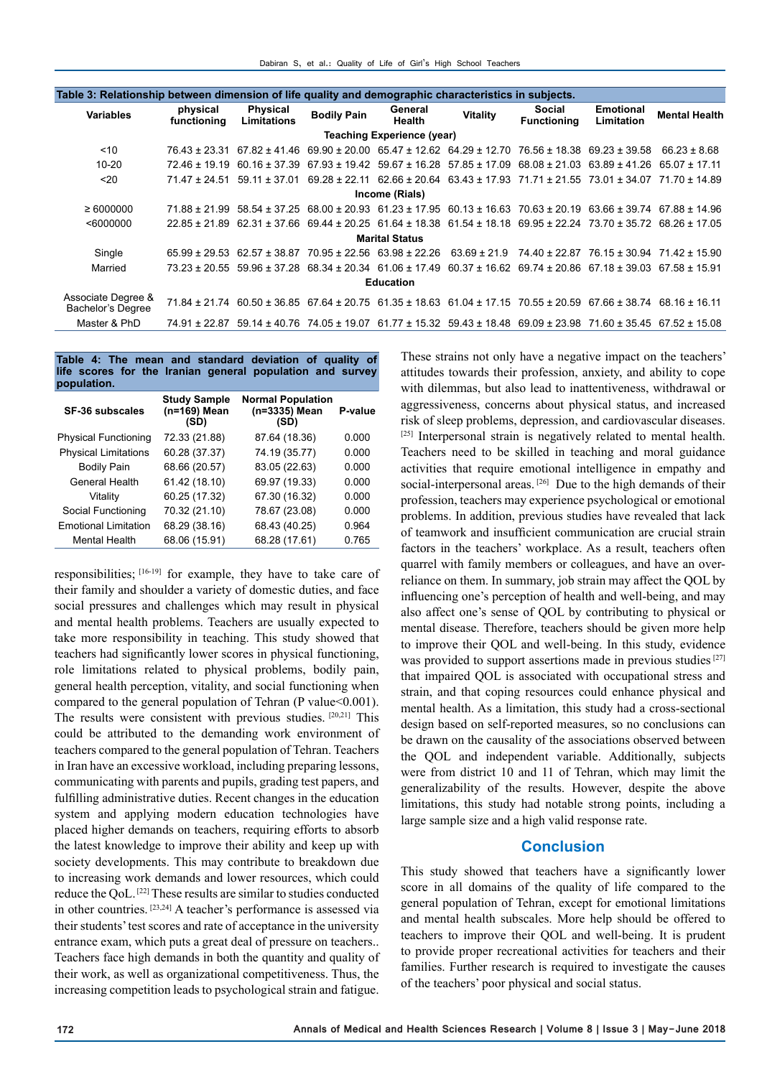| Table 3: Relationship between dimension of life quality and demographic characteristics in subjects. |                                   |                                                                                                                 |                                                                                                                               |                   |                                                                                                             |                                                                         |                                |                                           |
|------------------------------------------------------------------------------------------------------|-----------------------------------|-----------------------------------------------------------------------------------------------------------------|-------------------------------------------------------------------------------------------------------------------------------|-------------------|-------------------------------------------------------------------------------------------------------------|-------------------------------------------------------------------------|--------------------------------|-------------------------------------------|
| <b>Variables</b>                                                                                     | physical<br>functioning           | <b>Physical</b><br><b>Limitations</b>                                                                           | <b>Bodily Pain</b>                                                                                                            | General<br>Health | Vitality                                                                                                    | Social<br><b>Functioning</b>                                            | <b>Emotional</b><br>Limitation | <b>Mental Health</b>                      |
|                                                                                                      | <b>Teaching Experience (year)</b> |                                                                                                                 |                                                                                                                               |                   |                                                                                                             |                                                                         |                                |                                           |
| ~10                                                                                                  |                                   | 76.43 ± 23.31 67.82 ± 41.46 69.90 ± 20.00 65.47 ± 12.62 64.29 ± 12.70 76.56 ± 18.38 69.23 ± 39.58               |                                                                                                                               |                   |                                                                                                             |                                                                         |                                | $66.23 \pm 8.68$                          |
| $10 - 20$                                                                                            | $72.46 \pm 19.19$                 | $60.16 \pm 37.39$                                                                                               |                                                                                                                               |                   | $67.93 \pm 19.42$ 59.67 $\pm$ 16.28 57.85 $\pm$ 17.09 68.08 $\pm$ 21.03 63.89 $\pm$ 41.26                   |                                                                         |                                | $65.07 \pm 17.11$                         |
| 20                                                                                                   | $71.47 \pm 24.51$                 | $59.11 \pm 37.01$                                                                                               |                                                                                                                               |                   | $69.28 \pm 22.11$ $62.66 \pm 20.64$ $63.43 \pm 17.93$ $71.71 \pm 21.55$ $73.01 \pm 34.07$ $71.70 \pm 14.89$ |                                                                         |                                |                                           |
|                                                                                                      |                                   |                                                                                                                 |                                                                                                                               | Income (Rials)    |                                                                                                             |                                                                         |                                |                                           |
| $\geq 6000000$                                                                                       |                                   | 71.88 ± 21.99 58.54 ± 37.25 68.00 ± 20.93 61.23 ± 17.95 60.13 ± 16.63 70.63 ± 20.19 63.66 ± 39.74 67.88 ± 14.96 |                                                                                                                               |                   |                                                                                                             |                                                                         |                                |                                           |
| < 6000000                                                                                            | $2285 + 2189$                     |                                                                                                                 | $62.31 \pm 37.66$ $69.44 \pm 20.25$ $61.64 \pm 18.38$ $61.54 \pm 18.18$ $69.95 \pm 22.24$ $73.70 \pm 35.72$ $68.26 \pm 17.05$ |                   |                                                                                                             |                                                                         |                                |                                           |
| <b>Marital Status</b>                                                                                |                                   |                                                                                                                 |                                                                                                                               |                   |                                                                                                             |                                                                         |                                |                                           |
| Single                                                                                               |                                   | $65.99 \pm 29.53$ 62.57 $\pm 38.87$ 70.95 $\pm 22.56$ 63.98 $\pm 22.26$ 63.69 $\pm 21.9$                        |                                                                                                                               |                   |                                                                                                             |                                                                         |                                | 74.40 ± 22.87 76.15 ± 30.94 71.42 ± 15.90 |
| Married                                                                                              |                                   | $73.23 \pm 20.55$ 59.96 $\pm$ 37.28 68.34 $\pm$ 20.34 61.06 $\pm$ 17.49                                         |                                                                                                                               |                   |                                                                                                             | $60.37 \pm 16.62$ 69.74 $\pm$ 20.86 67.18 $\pm$ 39.03 67.58 $\pm$ 15.91 |                                |                                           |
| <b>Education</b>                                                                                     |                                   |                                                                                                                 |                                                                                                                               |                   |                                                                                                             |                                                                         |                                |                                           |
| Associate Degree &<br>Bachelor's Degree                                                              |                                   | 71.84 ± 21.74 60.50 ± 36.85 67.64 ± 20.75 61.35 ± 18.63 61.04 ± 17.15 70.55 ± 20.59 67.66 ± 38.74 68.16 ± 16.11 |                                                                                                                               |                   |                                                                                                             |                                                                         |                                |                                           |
| Master & PhD                                                                                         |                                   | 74.91 ± 22.87 59.14 ± 40.76 74.05 ± 19.07 61.77 ± 15.32 59.43 ± 18.48 69.09 ± 23.98 71.60 ± 35.45 67.52 ± 15.08 |                                                                                                                               |                   |                                                                                                             |                                                                         |                                |                                           |
|                                                                                                      |                                   |                                                                                                                 |                                                                                                                               |                   |                                                                                                             |                                                                         |                                |                                           |

| Table 4: The mean and standard deviation of quality of    |  |  |
|-----------------------------------------------------------|--|--|
| life scores for the Iranian general population and survey |  |  |
| population.                                               |  |  |

| <b>SF-36 subscales</b>      | <b>Study Sample</b><br>(n=169) Mean<br>(SD) | <b>Normal Population</b><br>(n=3335) Mean<br>(SD) | P-value |
|-----------------------------|---------------------------------------------|---------------------------------------------------|---------|
| <b>Physical Functioning</b> | 72.33 (21.88)                               | 87.64 (18.36)                                     | 0.000   |
| <b>Physical Limitations</b> | 60.28 (37.37)                               | 74.19 (35.77)                                     | 0.000   |
| <b>Bodily Pain</b>          | 68.66 (20.57)                               | 83.05 (22.63)                                     | 0.000   |
| General Health              | 61.42 (18.10)                               | 69.97 (19.33)                                     | 0.000   |
| Vitality                    | 60.25 (17.32)                               | 67.30 (16.32)                                     | 0.000   |
| Social Functioning          | 70.32 (21.10)                               | 78.67 (23.08)                                     | 0.000   |
| <b>Emotional Limitation</b> | 68.29 (38.16)                               | 68.43 (40.25)                                     | 0.964   |
| <b>Mental Health</b>        | 68.06 (15.91)                               | 68.28 (17.61)                                     | 0.765   |

responsibilities; [16-19] for example, they have to take care of their family and shoulder a variety of domestic duties, and face social pressures and challenges which may result in physical and mental health problems. Teachers are usually expected to take more responsibility in teaching. This study showed that teachers had significantly lower scores in physical functioning, role limitations related to physical problems, bodily pain, general health perception, vitality, and social functioning when compared to the general population of Tehran (P value  $0.001$ ). The results were consistent with previous studies. [20,21] This could be attributed to the demanding work environment of teachers compared to the general population of Tehran. Teachers in Iran have an excessive workload, including preparing lessons, communicating with parents and pupils, grading test papers, and fulfilling administrative duties. Recent changes in the education system and applying modern education technologies have placed higher demands on teachers, requiring efforts to absorb the latest knowledge to improve their ability and keep up with society developments. This may contribute to breakdown due to increasing work demands and lower resources, which could reduce the QoL. [22] These results are similar to studies conducted in other countries. [23,24] A teacher's performance is assessed via their students' test scores and rate of acceptance in the university entrance exam, which puts a great deal of pressure on teachers.. Teachers face high demands in both the quantity and quality of their work, as well as organizational competitiveness. Thus, the increasing competition leads to psychological strain and fatigue. These strains not only have a negative impact on the teachers' attitudes towards their profession, anxiety, and ability to cope with dilemmas, but also lead to inattentiveness, withdrawal or aggressiveness, concerns about physical status, and increased risk of sleep problems, depression, and cardiovascular diseases. [25] Interpersonal strain is negatively related to mental health. Teachers need to be skilled in teaching and moral guidance activities that require emotional intelligence in empathy and social-interpersonal areas.<sup>[26]</sup> Due to the high demands of their profession, teachers may experience psychological or emotional problems. In addition, previous studies have revealed that lack of teamwork and insufficient communication are crucial strain factors in the teachers' workplace. As a result, teachers often quarrel with family members or colleagues, and have an overreliance on them. In summary, job strain may affect the QOL by influencing one's perception of health and well-being, and may also affect one's sense of QOL by contributing to physical or mental disease. Therefore, teachers should be given more help to improve their QOL and well-being. In this study, evidence was provided to support assertions made in previous studies [27] that impaired QOL is associated with occupational stress and strain, and that coping resources could enhance physical and mental health. As a limitation, this study had a cross-sectional design based on self-reported measures, so no conclusions can be drawn on the causality of the associations observed between the QOL and independent variable. Additionally, subjects were from district 10 and 11 of Tehran, which may limit the generalizability of the results. However, despite the above limitations, this study had notable strong points, including a large sample size and a high valid response rate.

# **Conclusion**

This study showed that teachers have a significantly lower score in all domains of the quality of life compared to the general population of Tehran, except for emotional limitations and mental health subscales. More help should be offered to teachers to improve their QOL and well-being. It is prudent to provide proper recreational activities for teachers and their families. Further research is required to investigate the causes of the teachers' poor physical and social status.